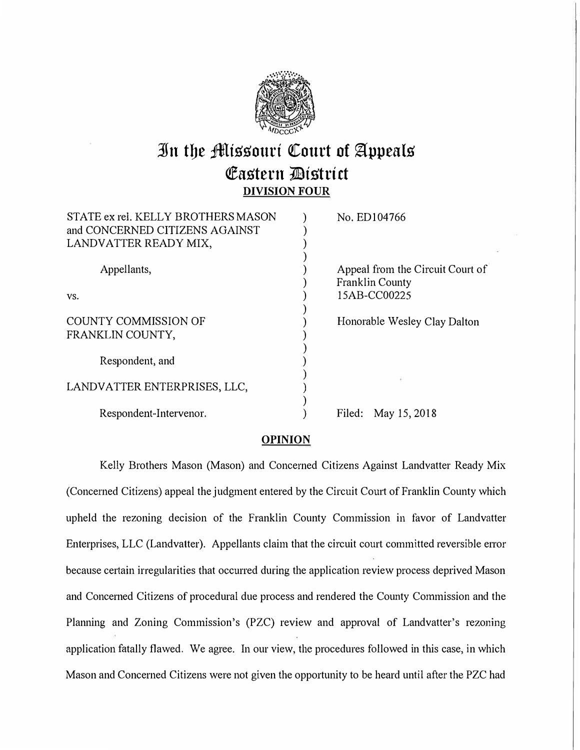

# **3Jn tbe ;iMiS'S'ourt Qtourt of §:ppealS' Eastern District DIVISION FOUR**

| STATE ex rel. KELLY BROTHERS MASON<br>and CONCERNED CITIZENS AGAINST<br>LANDVATTER READY MIX, | No. ED104766                                               |
|-----------------------------------------------------------------------------------------------|------------------------------------------------------------|
| Appellants,                                                                                   | Appeal from the Circuit Court of<br><b>Franklin County</b> |
| VS.                                                                                           | 15AB-CC00225                                               |
| COUNTY COMMISSION OF<br>FRANKLIN COUNTY,                                                      | Honorable Wesley Clay Dalton                               |
| Respondent, and                                                                               |                                                            |
| LANDVATTER ENTERPRISES, LLC,                                                                  |                                                            |
| Respondent-Intervenor.                                                                        | May 15, 2018<br>Filed:                                     |
|                                                                                               |                                                            |

## **OPINION**

Kelly Brothers Mason (Mason) and Concerned Citizens Against Landvatter Ready Mix (Concerned Citizens) appeal the judgment entered by the Circuit Court of Franklin County which upheld the rezoning decision of the Franklin County Commission in favor of Landvatter Enterprises, LLC (Landvatter). Appellants claim that the circuit court committed reversible error because certain irregularities that occurred during the application review process deprived Mason and Concerned Citizens of procedural due process and rendered the County Commission and the Planning and Zoning Commission's (PZC) review and approval of Landvatter's rezoning application fatally flawed. We agree. In our view, the procedures followed in this case, in which Mason and Concerned Citizens were not given the opportunity to be heard until after the PZC had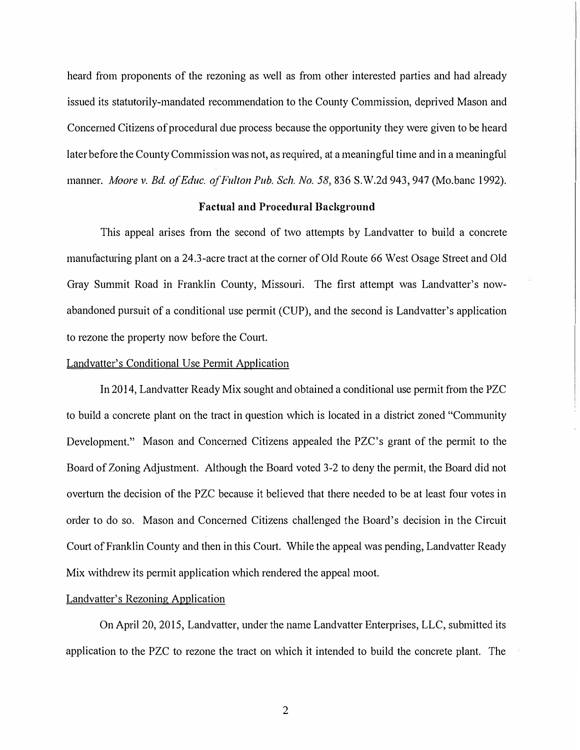heard from proponents of the rezoning as well as from other interested parties and had already issued its statutorily-mandated recommendation to the County Commission, deprived Mason and Concerned Citizens of procedural due process because the opportunity they were given to be heard later before the County Commission was not, as required, at a meaningful time and in a meaningful manner. *Moore v. Ed. a/Educ. of Fulton Pub. Sch. No.* 58,836 S.W.2d 943,947 (Mo.bane 1992).

#### **Factual and Procedural Background**

This appeal arises from the second of two attempts by Landvatter to build a concrete manufacturing plant on a 24.3-acre tract at the corner of Old Route 66 West Osage Street and Old Gray Summit Road in Franklin County, Missouri. The first attempt was Landvatter's nowabandoned pursuit of a conditional use permit (CUP), and the second is Landvatter's application to rezone the property now before the Court.

#### Landvatter's Conditional Use Permit Application

In 2014, Landvatter Ready Mix sought and obtained a conditional use permit from the PZC to build a concrete plant on the tract in question which is located in a district zoned "Community Development." Mason and Concerned Citizens appealed the PZC's grant of the permit to the Board of Zoning Adjustment. Although the Board voted 3-2 to deny the permit, the Board did not overturn the decision of the PZC because it believed that there needed to be at least four votes in order to do so. Mason and Concerned Citizens challenged the Board's decision in the Circuit Court of Franklin County and then in this Court. While the appeal was pending, Landvatter Ready Mix withdrew its permit application which rendered the appeal moot.

### Landvatter's Rezoning Application

On April 20, 2015, Landvatter, under the name Landvatter Enterprises, LLC, submitted its application to the PZC to rezone the tract on which it intended to build the concrete plant. The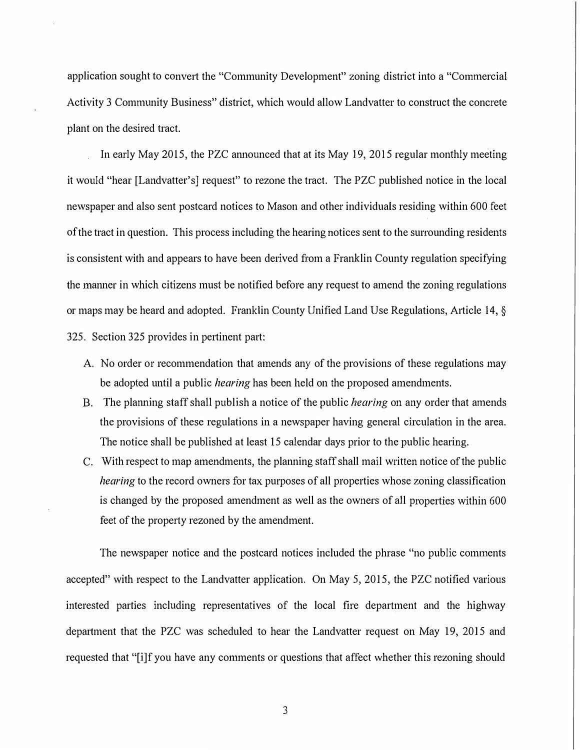application sought to convert the "Community Development" zoning district into a "Commercial Activity 3 Community Business" district, which would allow Landvatter to construct the concrete plant on the desired tract.

In early May 2015, the PZC announced that at its May 19, 2015 regular monthly meeting it would "hear [Landvatter's] request" to rezone the tract. The PZC published notice in the local newspaper and also sent postcard notices to Mason and other individuals residing within 600 feet of the tract in question. This process including the hearing notices sent to the surrounding residents is consistent with and appears to have been derived from a Franklin County regulation specifying the manner in which citizens must be notified before any request to amend the zoning regulations or maps may be heard and adopted. Franklin County Unified Land Use Regulations, Article 14, § 325. Section 325 provides in pertinent part:

- A. No order or recommendation that amends any of the provisions of these regulations may be adopted until a public *hearing* has been held on the proposed amendments.
- B. The planning staff shall publish a notice of the public *hearing* on any order that amends the provisions of these regulations in a newspaper having general circulation in the area. The notice shall be published at least 15 calendar days prior to the public hearing.
- C. With respect to map amendments, the planning staff shall mail written notice of the public *hearing* to the record owners for tax purposes of all properties whose zoning classification is changed by the proposed amendment as well as the owners of all properties within 600 feet of the property rezoned by the amendment.

The newspaper notice and the postcard notices included the phrase "no public comments accepted" with respect to the Landvatter application. On May 5, 2015, the PZC notified various interested parties including representatives of the local fire department and the highway department that the PZC was scheduled to hear the Landvatter request on May 19, 2015 and requested that "[i]f you have any comments or questions that affect whether this rezoning should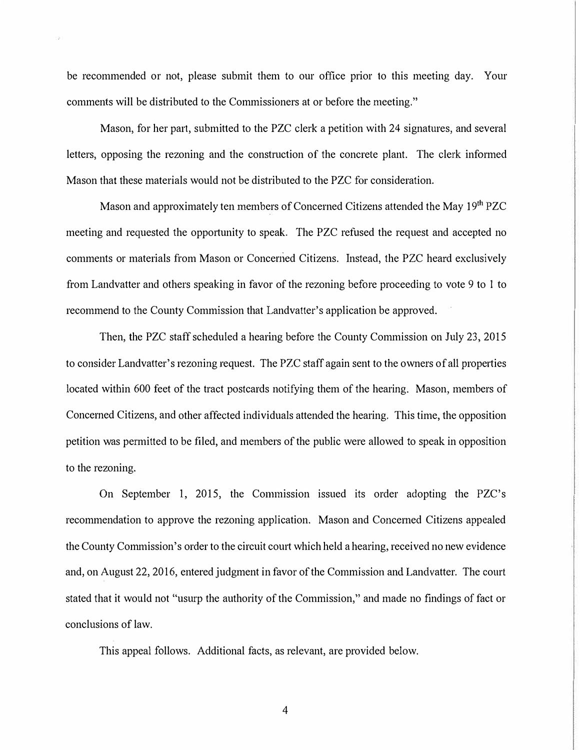be recommended or not, please submit them to our office prior to this meeting day. Your comments will be distributed to the Commissioners at or before the meeting."

Mason, for her part, submitted to the PZC clerk a petition with 24 signatures, and several letters, opposing the rezoning and the construction of the concrete plant. The clerk informed Mason that these materials would not be distributed to the PZC for consideration.

Mason and approximately ten members of Concerned Citizens attended the May 19<sup>th</sup> PZC meeting and requested the opportunity to speak. The PZC refused the request and accepted no comments or materials from Mason or Concerned Citizens. Instead, the PZC heard exclusively from Landvatter and others speaking in favor of the rezoning before proceeding to vote 9 to I to recommend to the County Commission that Landvatter's application be approved.

Then, the PZC staff scheduled a hearing before the County Commission on July 23, 2015 to consider Landvatter's rezoning request. The PZC staff again sent to the owners of all properties located within 600 feet of the tract postcards notifying them of the hearing. Mason, members of Concerned Citizens, and other affected individuals attended the hearing. This time, the opposition petition was permitted to be filed, and members of the public were allowed to speak in opposition to the rezoning.

On September 1, 2015, the Commission issued its order adopting the PZC's recommendation to approve the rezoning application. Mason and Concerned Citizens appealed the County Commission's order to the circuit court which held a hearing, received no new evidence and, on August 22, 2016, entered judgment in favor of the Commission and Landvatter. The court stated that it would not "usurp the authority of the Commission," and made no findings of fact or conclusions of law.

This appeal follows. Additional facts, as relevant, are provided below.

4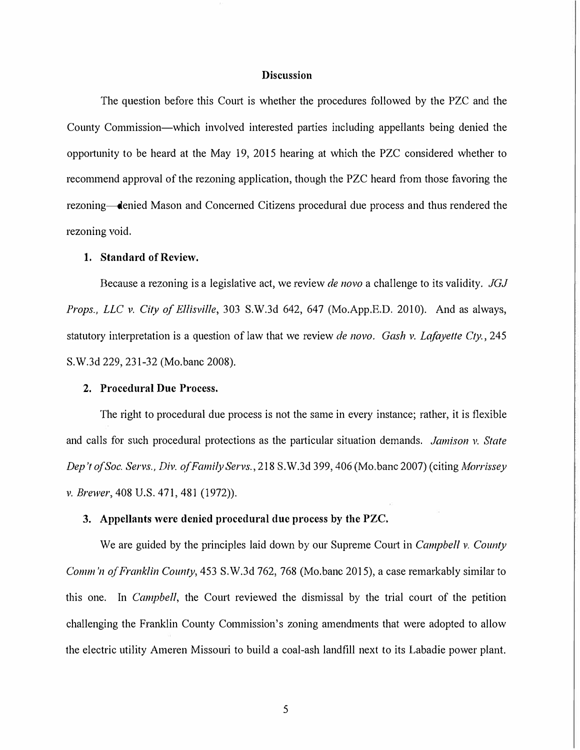## **Discussion**

The question before this Court is whether the procedures followed by the PZC and the County Commission-which involved interested parties including appellants being denied the opportunity to be heard at the May 19, 2015 hearing at which the PZC considered whether to recommend approval of the rezoning application, though the PZC heard from those favoring the rezoning—denied Mason and Concerned Citizens procedural due process and thus rendered the rezoning void.

#### **1. Standard of Review.**

Because a rezoning is a legislative act, we review *de 11ovo* a challenge to its validity. *JGJ Props., LLC v. City of Ellisville,* 303 S.W.3d 642, 647 (Mo.App.E.D. 2010). And as always, statutory interpretation is a question of law that we review *de novo. Gash v. Lafayette Cty.*, 245 S.W.3d 229, 231-32 (Mo.bane 2008).

#### **2. Procedural Due Process.**

The right to procedural due process is not the same in every instance; rather, it is flexible and calls for such procedural protections as the particular situation demands. *Jamison v. State Dep 't of Soc. Servs., Div. of Family Servs.,* 218 S. W.3d 399, 406 (Mo.bane 2007) ( citing *A1orrissey v. Brewer,* 408 U.S. 471,481 (1972)).

#### **3. Appellants were denied procedural clue process by the PZC.**

We are guided by the principles laid down by our Supreme Court in *Campbell v. County Comm 'n of Franklin County,* 453 S.W.3d 762, 768 (Mo.bane 2015), a case remarkably similar to this one. In *Campbell,* the Court reviewed the dismissal by the trial court of the petition challenging the Franklin County Commission's zoning amendments that were adopted to allow the electric utility Ameren Missouri to build a coal-ash landfill next to its Labadie power plant.

5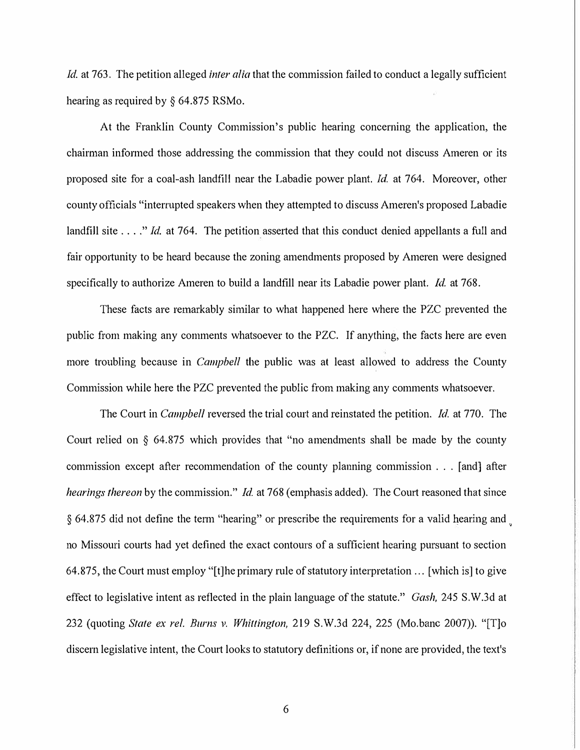*Id.* at 763. The petition alleged *inter alia* that the commission failed to conduct a legally sufficient hearing as required by § 64.875 RSMo.

At the Franklin County Commission's public hearing concerning the application, the chairman informed those addressing the commission that they could not discuss Ameren or its proposed site for a coal-ash landfill near the Labadie power plant. *Id* at 764. Moreover, other county officials "interrupted speakers when they attempted to discuss Ameren's proposed Labadie landfill site . . . ." *Id.* at 764. The petition asserted that this conduct denied appellants a full and fair opportunity to be heard because the zoning amendments proposed by Ameren were designed specifically to authorize Ameren to build a landfill near its Labadie power plant. *Id.* at 768.

These facts are remarkably similar to what happened here where the PZC prevented the public from making any comments whatsoever to the PZC. If anything, the facts here are even more troubling because in *Campbell* the public was at least allowed to address the County Commission while here the PZC prevented the public from making any comments whatsoever.

The Court in *Campbell* reversed the trial court and reinstated the petition. *Id.* at 770. The Court relied on § 64.875 which provides that "no amendments shall be made by the county commission except after recommendation of the county planning commission ... [ and] after *hearings thereon* by the commission." *Id.* at 768 (emphasis added). The Court reasoned that since § 64.875 did not define the term "hearing" or prescribe the requirements for a valid hearing and no Missouri courts had yet defined the exact contours of a sufficient hearing pursuant to section 64.875, the Court must employ "[t]he primary rule of statutory interpretation ... [which is] to give effect to legislative intent as reflected in the plain language of the statute." *Gash,* 245 S.W.3d at 232 (quoting *State ex rel. Burns v. Whittington,* 219 S.W.3d 224, 225 (Mo.bane 2007)). "[T]o discern legislative intent, the Court looks to statutory definitions or, if none are provided, the text's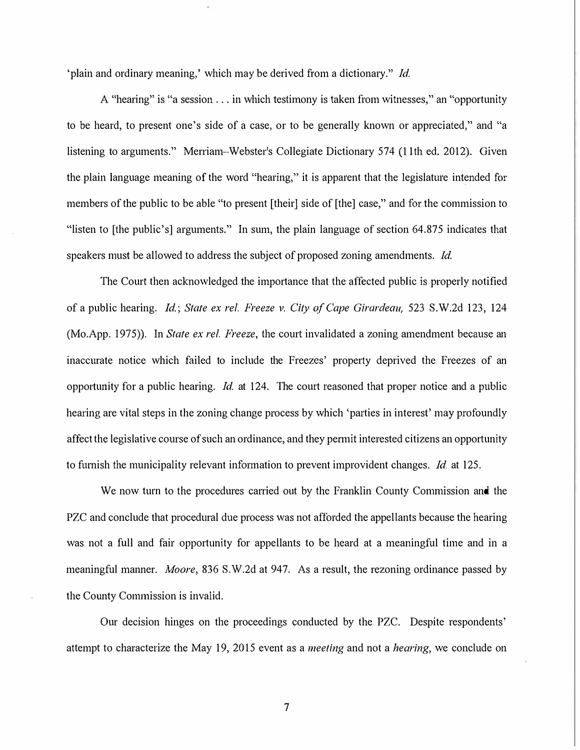'plain and ordinary meaning,' which may be derived from a dictionary." *Id.* 

A "hearing" is "a session ... in which testimony is taken from witnesses," an "opportunity to be heard, to present one's side of a case, or to be generally known or appreciated," and "a listening to arguments." Merriam-Webster's Collegiate Dictionary 574 (I 1th ed. 2012). Given the plain language meaning of the word "hearing," it is apparent that the legislature intended for members of the public to be able "to present [their] side of [the] case," and for the commission to "listen to [the public's] arguments." In sum, the plain language of section 64.875 indicates that speakers must be allowed to address the subject of proposed zoning amendments. *Id.* 

The Court then acknowledged the importance that the affected public is properly notified of a public hearing. *Id.; State ex rel. Freeze v. City of Cape Girardeau,* 523 S.W.2d 123, 124 (Mo.App. 1975)). In *State ex rel. Freeze,* the court invalidated a zoning amendment because an inaccurate notice which failed to include the Freezes' property deprived the Freezes of an opportunity for a public hearing. *Id.* at 124. The court reasoned that proper notice and a public hearing are vital steps in the zoning change process by which 'parties in interest' may profoundly affect the legislative course of such an ordinance, and they permit interested citizens an opportunity to furnish the municipality relevant information to prevent improvident changes. *Id.* at 125.

We now turn to the procedures carried out by the Franklin County Commission and the PZC and conclude that procedural due process was not afforded the appellants because the hearing was not a full and fair opportunity for appellants to be heard at a meaningful time and in a meaningful manner. *Moore,* 836 S.W.2d at 947. As a result, the rezoning ordinance passed by the County Commission is invalid.

Our decision hinges on the proceedings conducted by the PZC. Despite respondents' attempt to characterize the May 19, 2015 event as a *meeting* and not a *hearing,* we conclude on

7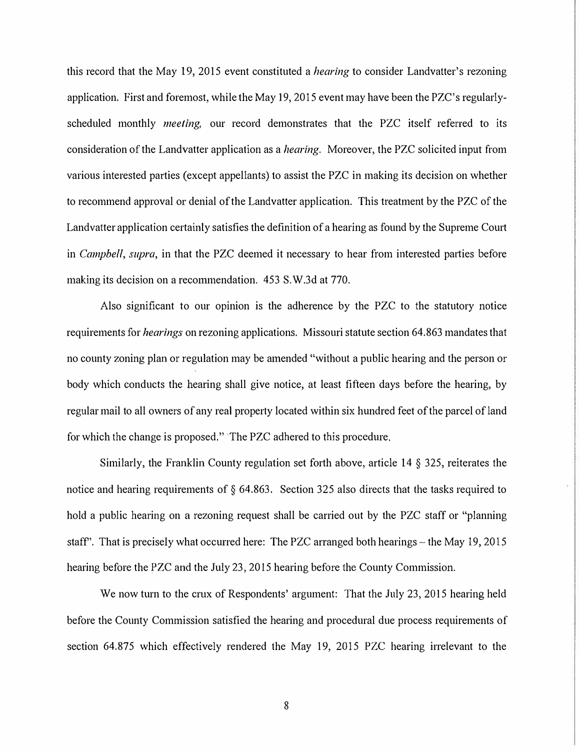this record that the May 19, 2015 event constituted a *hearing* to consider Landvatter's rezoning application. First and foremost, while the May 19, 2015 event may have been the PZC's regularlyscheduled monthly *meeting,* our record demonstrates that the PZC itself referred to its consideration of the Landvatter application as a *hearing.* Moreover, the PZC solicited input from various interested parties ( except appellants) to assist the PZC in making its decision on whether to recommend approval or denial of the Landvatter application. This treatment by the PZC of the Landvatter application certainly satisfies the definition of a hearing as found by the Supreme Court in *Campbell, supra,* in that the PZC deemed it necessary to hear from interested patties before making its decision on a recommendation. 453 S. W.3d at 770.

Also significant to our opinion is the adherence by the PZC to the statutory notice requirements for *hearings* on rezoning applications. Missouri statute section 64.863 mandates that no county zoning plan or regulation may be amended "without a public hearing and the person or body which conducts the hearing shall give notice, at least fifteen days before the hearing, by regular mail to all owners of any real property located within six hundred feet of the parcel of land for which the change is proposed." The PZC adhered to this procedure.

Similarly, the Franklin County regulation set forth above, article 14 § 325, reiterates the notice and hearing requirements of § 64.863. Section 325 also directs that the tasks required to hold a public hearing on a rezoning request shall be carried out by the PZC staff or "planning staff". That is precisely what occurred here: The PZC arranged both hearings – the May 19, 2015 hearing before the PZC and the July 23, 2015 hearing before the County Commission.

We now turn to the crux of Respondents' argument: That the July 23, 2015 hearing held before the County Commission satisfied the hearing and procedural due process requirements of section 64.875 which effectively rendered the May 19, 2015 PZC hearing irrelevant to the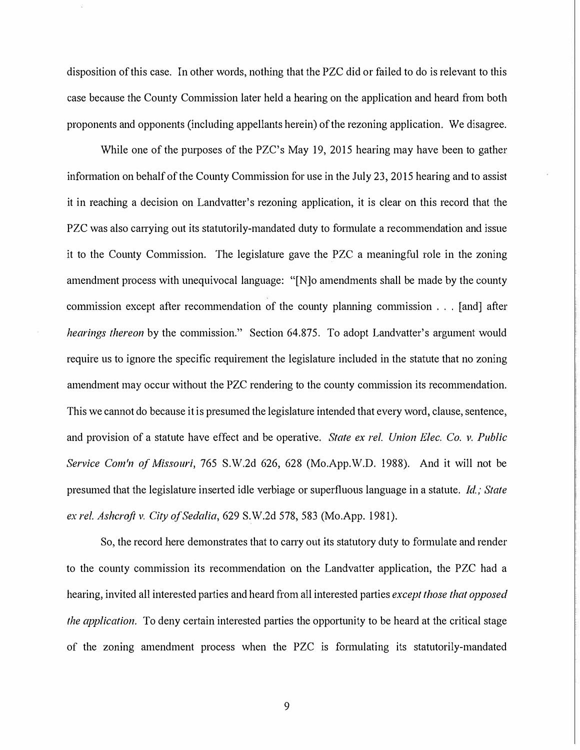disposition of this case. In other words, nothing that the PZC did or failed to do is relevant to this case because the County Commission later held a hearing on the application and heard from both proponents and opponents (including appellants herein) of the rezoning application. We disagree.

While one of the purposes of the PZC's May 19, 2015 hearing may have been to gather information on behalf of the County Commission for use in the July 23, 2015 hearing and to assist it in reaching a decision on Landvatter's rezoning application, it is clear on this record that the PZC was also carrying out its statutorily-mandated duty to formulate a recommendation and issue it to the County Commission. The legislature gave the PZC a meaningful role in the zoning amendment process with unequivocal language: "[N]o amendments shall be made by the county commission except after recommendation of the county planning commission . . . [ and] after *hearings thereon* by the commission." Section 64.875. To adopt Landvatter's argument would require us to ignore the specific requirement the legislature included in the statute that no zoning amendment may occur without the PZC rendering to the county commission its recommendation. This we cannot do because it is presumed the legislature intended that every word, clause, sentence, and provision of a statute have effect and be operative. *State ex rel. Union Elec. Co. v. Public Service Com'n of Missouri,* 765 S.W.2d 626, 628 (Mo.App.W.D. 1988). And it will not be presumed that the legislature inserted idle verbiage or superfluous language in a statute. *Id; State ex rel. Ashcroft v. City of Sedalia,* 629 S.W.2d 578,583 (Mo.App. 1981).

So, the record here demonstrates that to carry out its statutory duty to formulate and render to the county commission its recommendation on the Landvatter application, the PZC had a hearing, invited all interested parties and heard from all interested parties *except those that opposed the application.* To deny certain interested parties the opportunity to be heard at the critical stage of the zoning amendment process when the PZC is formulating its statutorily-mandated